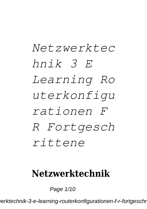# *Netzwerktec hnik 3 E Learning Ro uterkonfigu rationen F R Fortgesch rittene*

### **Netzwerktechnik**

Page 1/10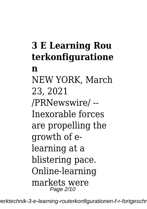## **3 E Learning Rou terkonfiguratione**

#### **n**

NEW YORK, March 23, 2021 /PRNewswire/ -- Inexorable forces are propelling the growth of elearning at a blistering pace. Online-learning markets were Page 2/10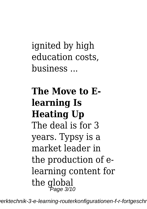ignited by high education costs, business ...

**The Move to Elearning Is Heating Up** The deal is for 3 years. Typsy is a market leader in the production of elearning content for the global Page 3/10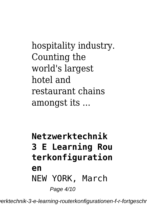hospitality industry. Counting the world's largest hotel and restaurant chains amongst its ...

**Netzwerktechnik 3 E Learning Rou terkonfiguration en** NEW YORK, March Page 4/10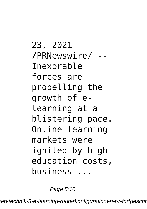23, 2021 /PRNewswire/ -- Inexorable forces are propelling the growth of elearning at a blistering pace. Online-learning markets were ignited by high education costs, business ...

Page 5/10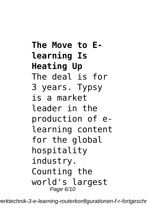**The Move to Elearning Is Heating Up** The deal is for 3 years. Typsy is a market leader in the production of elearning content for the global hospitality industry. Counting the world's largest Page 6/10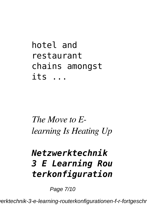hotel and restaurant chains amongst its ...

## *The Move to Elearning Is Heating Up*

## *Netzwerktechnik 3 E Learning Rou terkonfiguration*

Page 7/10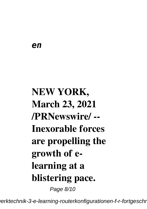#### *en*

# **NEW YORK, March 23, 2021 /PRNewswire/ -- Inexorable forces are propelling the growth of elearning at a blistering pace.** Page 8/10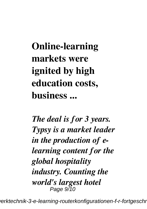**Online-learning markets were ignited by high education costs, business ...**

*The deal is for 3 years. Typsy is a market leader in the production of elearning content for the global hospitality industry. Counting the world's largest hotel* Page 9/10